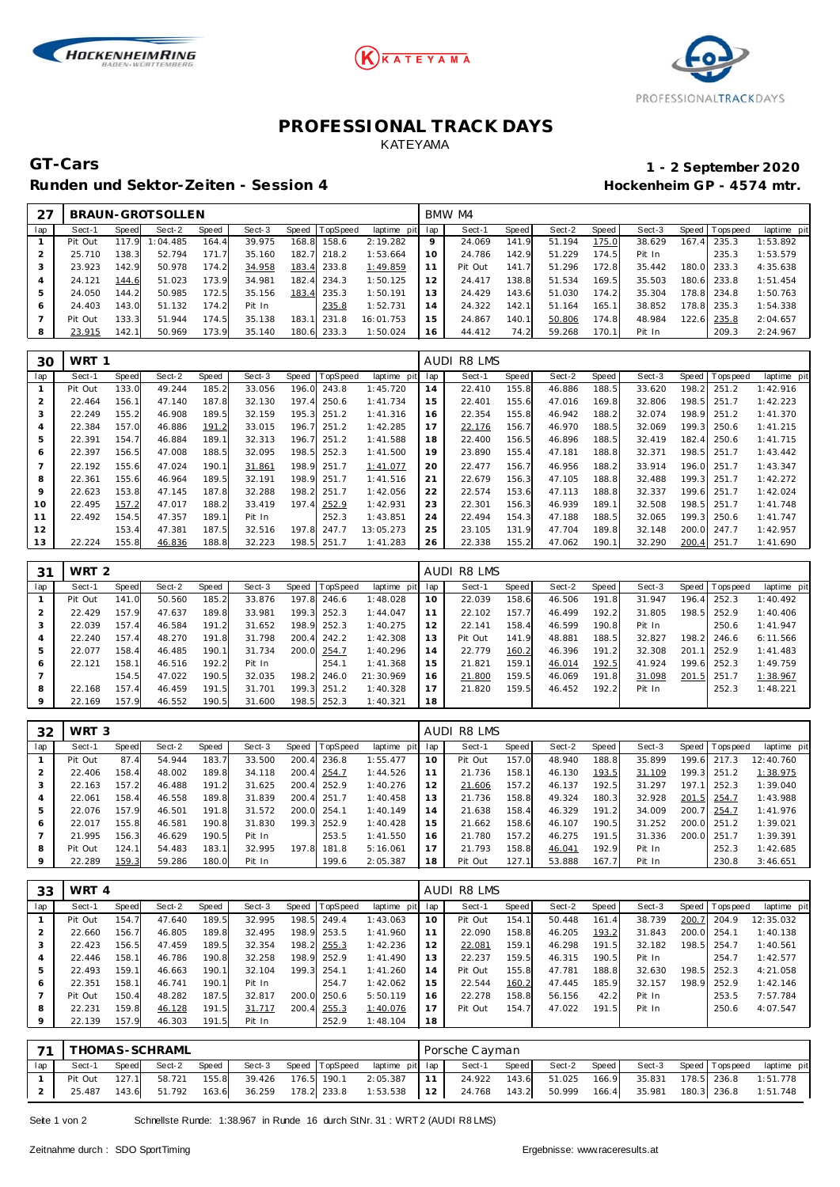





## **PROFESSIONAL TRACK DAYS** KATEYAMA

Runden und Sektor-Zeiten - Session 4 **Behauen und Sektor-Zeiten - Session 4 Hockenheim GP** - 4574 mtr.

# **GT-Cars 1 - 2 September 2020**

|     |         |       | BRAUN-GROTSOLLEN |       |        |         |                 |             |     | BMW M4  |       |        |       |        |       |                 |             |
|-----|---------|-------|------------------|-------|--------|---------|-----------------|-------------|-----|---------|-------|--------|-------|--------|-------|-----------------|-------------|
| lap | Sect-1  | Speed | Sect-2           | Speed | Sect-3 | Speed T | <b>TopSpeed</b> | laptime pit | lap | Sect-1  | Speed | Sect-2 | Speed | Sect-3 |       | Speed Tops peed | laptime pit |
|     | Pit Out | 117.9 | 1:04.485         | 164.4 | 39.975 | 168.8   | 158.6           | 2:19.282    | 9   | 24.069  | 141.9 | 51.194 | 175.0 | 38.629 | 167.4 | 235.3           | 1:53.892    |
|     | 25.710  | 138.3 | 52.794           | 171.7 | 35.160 |         | 182.7 218.2     | 1:53.664    | 10  | 24.786  | 142.9 | 51.229 | 174.5 | Pit In |       | 235.3           | 1:53.579    |
|     | 23.923  | 142.9 | 50.978           | 174.2 | 34.958 |         | 183.4 233.8     | 1:49.859    |     | Pit Out | 141.7 | 51.296 | 172.8 | 35.442 |       | 180.0 233.3     | 4:35.638    |
|     | 24.121  | 144.6 | 51.023           | 173.9 | 34.981 |         | 182.4 234.3     | 1:50.125    | 12  | 24.417  | 138.8 | 51.534 | 169.5 | 35.503 |       | 180.6 233.8     | 1:51.454    |
|     | 24.050  | 144.2 | 50.985           | 172.5 | 35.156 | 183.4   | 235.3           | 1:50.191    | 13  | 24.429  | 143.6 | 51.030 | 174.2 | 35.304 |       | 178.8 234.8     | 1:50.763    |
| 6   | 24.403  | 143.0 | 51.132           | 174.2 | Pit In |         | 235.8           | 1:52.731    | 14  | 24.322  | 142.1 | 51.164 | 165.1 | 38.852 |       | 178.8 235.3     | 1:54.338    |
|     | Pit Out | 133.3 | 51.944           | 174.5 | 35.138 | 183.1   | 231.8           | 16:01.753   | 15  | 24.867  | 140.1 | 50.806 | 174.8 | 48.984 |       | 122.6 235.8     | 2:04.657    |
|     | 23.915  | 142.1 | 50.969           | 173.9 | 35.140 |         | 180.6 233.3     | 1:50.024    | 16  | 44.412  | 74.2  | 59.268 | 170.1 | Pit In |       | 209.3           | 2:24.967    |

| 30  | WRT 1   |       |        |       |        |       |                 |             |     | <b>AUDI R8 LMS</b> |       |        |       |        |       |                   |             |
|-----|---------|-------|--------|-------|--------|-------|-----------------|-------------|-----|--------------------|-------|--------|-------|--------|-------|-------------------|-------------|
| lap | Sect-1  | Speed | Sect-2 | Speed | Sect-3 | Speed | <b>TopSpeed</b> | laptime pit | lap | Sect-1             | Speed | Sect-2 | Speed | Sect-3 |       | Speed   Tops peed | laptime pit |
|     | Pit Out | 133.0 | 49.244 | 185.2 | 33.056 | 196.0 | 243.8           | 1:45.720    | 14  | 22.410             | 155.8 | 46.886 | 188.5 | 33.620 | 198.2 | 251.2             | 1:42.916    |
|     | 22.464  | 156.1 | 47.140 | 187.8 | 32.130 | 197.4 | 250.6           | 1:41.734    | 15  | 22.401             | 155.6 | 47.016 | 169.8 | 32.806 | 198.5 | 251.7             | 1:42.223    |
| 3   | 22.249  | 155.2 | 46.908 | 189.5 | 32.159 | 195.3 | 251.2           | 1:41.316    | 16  | 22.354             | 155.8 | 46.942 | 188.2 | 32.074 | 198.9 | 251.2             | 1:41.370    |
| 4   | 22.384  | 157.0 | 46.886 | 191.2 | 33.015 | 196.7 | 251.2           | 1:42.285    | 17  | 22.176             | 156.7 | 46.970 | 188.5 | 32.069 | 199.3 | 250.6             | 1:41.215    |
| 5   | 22.391  | 154.7 | 46.884 | 189.1 | 32.313 | 196.7 | 251.2           | 1:41.588    | 18  | 22.400             | 156.5 | 46.896 | 188.5 | 32.419 | 182.4 | 250.6             | 1:41.715    |
| 6   | 22.397  | 156.5 | 47.008 | 188.5 | 32.095 | 198.5 | 252.3           | 1:41.500    | 19  | 23.890             | 155.4 | 47.181 | 188.8 | 32.371 | 198.5 | 251.7             | 1:43.442    |
|     | 22.192  | 155.6 | 47.024 | 190.1 | 31.861 |       | 198.9 251.7     | 1:41.077    | 20  | 22.477             | 156.7 | 46.956 | 188.2 | 33.914 |       | 196.0 251.7       | 1:43.347    |
| 8   | 22.361  | 155.6 | 46.964 | 189.5 | 32.191 | 198.9 | 251.7           | 1:41.516    | 21  | 22.679             | 156.3 | 47.105 | 188.8 | 32.488 | 199.3 | 251.7             | 1:42.272    |
| 9   | 22.623  | 153.8 | 47.145 | 187.8 | 32.288 | 198.2 | 251.7           | 1:42.056    | 22  | 22.574             | 153.6 | 47.113 | 188.8 | 32.337 | 199.6 | 251.7             | 1:42.024    |
| 10  | 22.495  | 157.2 | 47.017 | 188.2 | 33.419 | 197.4 | 252.9           | 1:42.931    | 23  | 22.301             | 156.3 | 46.939 | 189.1 | 32.508 | 198.5 | 251.7             | 1:41.748    |
| 11  | 22.492  | 154.5 | 47.357 | 189.1 | Pit In |       | 252.3           | 1:43.851    | 24  | 22.494             | 154.3 | 47.188 | 188.5 | 32.065 | 199.3 | 250.6             | 1: 41.747   |
| 12  |         | 153.4 | 47.381 | 187.5 | 32.516 | 197.8 | 247.7           | 13:05.273   | 25  | 23.105             | 131.9 | 47.704 | 189.8 | 32.148 | 200.0 | 247.7             | 1:42.957    |
| 13  | 22.224  | 155.8 | 46.836 | 188.8 | 32.223 | 198.5 | 251.7           | 1:41.283    | 26  | 22.338             | 155.2 | 47.062 | 190.1 | 32.290 | 200.4 | 251.7             | 1:41.690    |

| 31      | WRT <sub>2</sub> |       |        |       |        |       |          |             |     | <b>AUDI R8 LMS</b> |       |        |       |        |       |            |             |
|---------|------------------|-------|--------|-------|--------|-------|----------|-------------|-----|--------------------|-------|--------|-------|--------|-------|------------|-------------|
| lap     | Sect-1           | Speed | Sect-2 | Speed | Sect-3 | Speed | TopSpeed | laptime pit | lap | Sect-1             | Speed | Sect-2 | Speed | Sect-3 | Speed | T ops peed | laptime pit |
|         | Pit Out          | 141.0 | 50.560 | 185.2 | 33.876 | 197.8 | 246.6    | 1:48.028    | 10  | 22.039             | 158.6 | 46.506 | 191.8 | 31.947 | 196.4 | 252.3      | 1:40.492    |
|         | 22.429           | 157.9 | 47.637 | 189.8 | 33.981 | 199.3 | 252.3    | 1:44.047    | 11  | 22.102             | 157.7 | 46.499 | 192.2 | 31.805 | 198.5 | 252.9      | 1:40.406    |
| 3       | 22.039           | 157.4 | 46.584 | 191.2 | 31.652 | 198.9 | 252.3    | 1:40.275    | 12  | 22.141             | 158.4 | 46.599 | 190.8 | Pit In |       | 250.6      | 1:41.947    |
| 4       | 22.240           | 157.4 | 48.270 | 191.8 | 31.798 | 200.4 | 242.2    | 1:42.308    | 13  | Pit Out            | 141.9 | 48.881 | 188.5 | 32.827 | 198.2 | 246.6      | 6:11.566    |
| 5       | 22.077           | 158.4 | 46.485 | 190.1 | 31.734 | 200.0 | 254.7    | 1:40.296    | 14  | 22.779             | 160.2 | 46.396 | 191.2 | 32.308 | 201.1 | 252.9      | 1:41.483    |
| 6       | 22.121           | 158.1 | 46.516 | 192.2 | Pit In |       | 254.1    | 1:41.368    | 15  | 21.821             | 159.1 | 46.014 | 192.5 | 41.924 | 199.6 | 252.3      | 1:49.759    |
|         |                  | 154.5 | 47.022 | 190.5 | 32.035 | 198.2 | 246.0    | 21:30.969   | 16  | 21.800             | 159.5 | 46.069 | 191.8 | 31.098 | 201.5 | 251.7      | 1:38.967    |
| 8       | 22.168           | 157.4 | 46.459 | 191.5 | 31.701 | 199.3 | 251.2    | 1:40.328    | 17  | 21.820             | 159.5 | 46.452 | 192.2 | Pit In |       | 252.3      | 1:48.221    |
| $\circ$ | 22.169           | 157.9 | 46.552 | 190.5 | 31.600 | 198.5 | 252.3    | 1:40.321    | 18  |                    |       |        |       |        |       |            |             |

| 32  | WRT <sub>3</sub> |              |        |       |        |         |                 |             |     | AUDI R8 LMS |       |        |       |        |       |                   |             |
|-----|------------------|--------------|--------|-------|--------|---------|-----------------|-------------|-----|-------------|-------|--------|-------|--------|-------|-------------------|-------------|
| lap | Sect-1           | <b>Speed</b> | Sect-2 | Speed | Sect-3 | Speed T | <b>TopSpeed</b> | laptime pit | lap | Sect-1      | Speed | Sect-2 | Speed | Sect-3 |       | Speed   Tops peed | laptime pit |
|     | Pit Out          | 87.4         | 54.944 | 183.7 | 33.500 | 200.4   | 236.8           | 1:55.477    | 10  | Pit Out     | 157.0 | 48.940 | 188.8 | 35.899 | 199.6 | 217.3             | 12:40.760   |
|     | 22.406           | 158.4        | 48.002 | 189.8 | 34.118 | 200.4   | 254.7           | 1:44.526    |     | 21.736      | 158.1 | 46.130 | 193.5 | 31.109 | 199.3 | 251.2             | 1:38.975    |
|     | 22.163           | 157.2        | 46.488 | 191.2 | 31.625 | 200.4   | 252.9           | 1:40.276    |     | 21.606      | 157.2 | 46.137 | 192.5 | 31.297 | 197.1 | 252.3             | 1:39.040    |
|     | 22.061           | 158.4        | 46.558 | 189.8 | 31.839 |         | 200.4 251.7     | 1:40.458    | 13  | 21.736      | 158.8 | 49.324 | 180.3 | 32.928 | 201.5 | 254.7             | 1:43.988    |
| 5   | 22.076           | 157.9        | 46.501 | 191.8 | 31.572 |         | 200.0 254.1     | 1:40.149    | 14  | 21.638      | 158.4 | 46.329 | 191.2 | 34.009 | 200.7 | 254.7             | 1:41.976    |
| 6   | 22.017           | 155.8        | 46.581 | 190.8 | 31.830 |         | 199.3 252.9     | 1:40.428    | 15  | 21.662      | 158.6 | 46.107 | 190.5 | 31.252 |       | 200.0 251.2       | 1:39.021    |
|     | 21.995           | 156.3        | 46.629 | 190.5 | Pit In |         | 253.5           | 1:41.550    | 16  | 21.780      | 157.2 | 46.275 | 191.5 | 31.336 |       | 200.0 251.7       | 1:39.391    |
| 8   | Pit Out          | 124.1        | 54.483 | 183.1 | 32.995 | 197.8   | 181.8           | 5:16.061    |     | 21.793      | 158.8 | 46.041 | 192.9 | Pit In |       | 252.3             | 1:42.685    |
|     | 22.289           | 159.3        | 59.286 | 180.0 | Pit In |         | 199.6           | 2:05.387    | 18  | Pit Out     | 127.1 | 53.888 | 167.7 | Pit In |       | 230.8             | 3:46.651    |

| 33           | WRT 4   |       |        |       |        |       |                |             |     | AUDI R8 LMS |       |        |       |        |       |                |             |
|--------------|---------|-------|--------|-------|--------|-------|----------------|-------------|-----|-------------|-------|--------|-------|--------|-------|----------------|-------------|
| lap          | Sect-1  | Speed | Sect-2 | Speed | Sect-3 |       | Speed TopSpeed | laptime pit | lap | Sect-1      | Speed | Sect-2 | Speed | Sect-3 |       | Speed Topspeed | laptime pit |
|              | Pit Out | 154.7 | 47.640 | 189.5 | 32.995 | 198.5 | 249.4          | 1:43.063    | 10  | Pit Out     | 154.1 | 50.448 | 161.4 | 38.739 | 200.7 | 204.9          | 12:35.032   |
|              | 22.660  | 156.7 | 46.805 | 189.8 | 32.495 | 198.9 | 253.5          | 1:41.960    |     | 22.090      | 158.8 | 46.205 | 193.2 | 31.843 | 200.0 | 254.1          | 1:40.138    |
| 3            | 22.423  | 156.5 | 47.459 | 189.5 | 32.354 | 198.2 | 255.3          | 1:42.236    |     | 22.081      | 159.1 | 46.298 | 191.5 | 32.182 | 198.5 | 254.7          | 1:40.561    |
| 4            | 22.446  | 158.1 | 46.786 | 190.8 | 32.258 | 198.9 | 252.9          | 1:41.490    | 13  | 22.237      | 159.5 | 46.315 | 190.5 | Pit In |       | 254.7          | 1:42.577    |
| 5            | 22.493  | 159.1 | 46.663 | 190.1 | 32.104 |       | 199.3 254.1    | 1:41.260    | 14  | Pit Out     | 155.8 | 47.781 | 188.8 | 32.630 | 198.5 | 252.3          | 4:21.058    |
| 6            | 22.351  | 158.1 | 46.741 | 190.1 | Pit In |       | 254.7          | 1:42.062    | 15  | 22.544      | 160.2 | 47.445 | 185.9 | 32.157 | 198.9 | 252.9          | 1:42.146    |
|              | Pit Out | 150.4 | 48.282 | 187.5 | 32.817 | 200.0 | 250.6          | 5:50.119    | 16  | 22.278      | 158.8 | 56.156 | 42.2  | Pit In |       | 253.5          | 7:57.784    |
| 8            | 22.231  | 159.8 | 46.128 | 191.5 | 31.717 | 200.4 | 255.3          | 1:40.076    |     | Pit Out     | 154.7 | 47.022 | 191.5 | Pit In |       | 250.6          | 4:07.547    |
| $\mathbf{Q}$ | 22.139  | 157.9 | 46.303 | 191.5 | Pit In |       | 252.9          | 1:48.104    | 18  |             |       |        |       |        |       |                |             |

|     | 71   THOMAS-SCHRAML |       |        |       |  |                                                                                                   | Porsche Cayman |       |  |                                    |  |                      |
|-----|---------------------|-------|--------|-------|--|---------------------------------------------------------------------------------------------------|----------------|-------|--|------------------------------------|--|----------------------|
| lap | Sect-1              | Speed | Sect-2 | Speed |  | Sect-3 Speed TopSpeed laptime pit lap                                                             | Sect-1         | Speed |  | Sect-2 Speed Sect-3 Speed Topspeed |  | laptime pit          |
|     | Pit Out             | 127.1 |        |       |  | 58.721 155.8 39.426 176.5 190.1 2:05.387 11 24.922 143.6 51.025 166.9 35.831 178.5 236.8 1:51.778 |                |       |  |                                    |  |                      |
|     |                     |       |        |       |  | 25.487 143.6 51.792 163.6 36.259 178.2 233.8 1:53.538 12 24.768 143.2 50.999                      |                |       |  | 166.4 35.981                       |  | 180.3 236.8 1:51.748 |

Seite 1 von 2 Schnellste Runde: 1:38.967 in Runde 16 durch StNr. 31 : WRT 2 (AUDI R8 LMS)